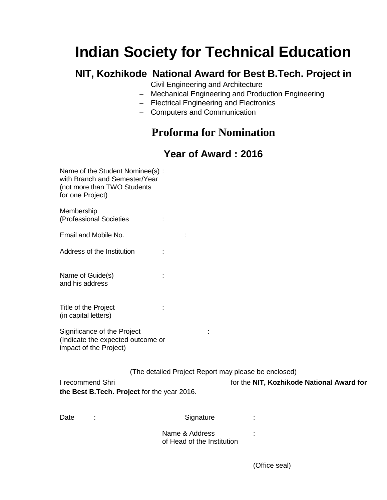# **Indian Society for Technical Education**

### **NIT, Kozhikode National Award for Best B.Tech. Project in**

- Civil Engineering and Architecture
- Mechanical Engineering and Production Engineering
- Electrical Engineering and Electronics
- Computers and Communication

## **Proforma for Nomination**

#### **Year of Award : 2016**

| Name of the Student Nominee(s):<br>with Branch and Semester/Year<br>(not more than TWO Students<br>for one Project) |  |
|---------------------------------------------------------------------------------------------------------------------|--|
| Membership<br>(Professional Societies                                                                               |  |
| Email and Mobile No.                                                                                                |  |
| Address of the Institution                                                                                          |  |
| Name of Guide(s)<br>and his address                                                                                 |  |
| Title of the Project<br>(in capital letters)                                                                        |  |
| Significance of the Project<br>(Indicate the expected outcome or<br>impact of the Project)                          |  |

(The detailed Project Report may please be enclosed)

| I recommend Shri                            |   |                                              | for the NIT, Kozhikode National Award for |  |
|---------------------------------------------|---|----------------------------------------------|-------------------------------------------|--|
| the Best B.Tech. Project for the year 2016. |   |                                              |                                           |  |
|                                             |   |                                              |                                           |  |
| Date                                        | ÷ | Signature                                    |                                           |  |
|                                             |   | Name & Address<br>of Head of the Institution | ٠.                                        |  |